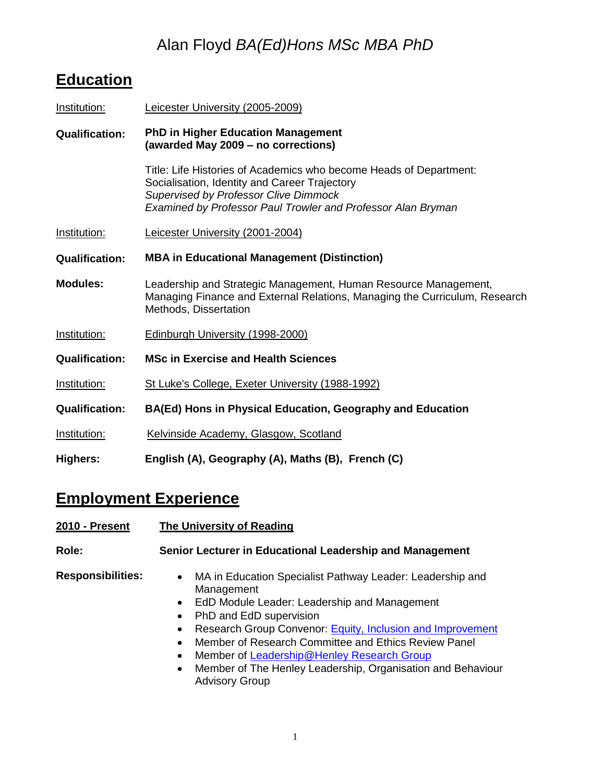## Alan Floyd *BA(Ed)Hons MSc MBA PhD*

# **Education**

| Institution:          | Leicester University (2005-2009)                                                                                                                                                                                                    |
|-----------------------|-------------------------------------------------------------------------------------------------------------------------------------------------------------------------------------------------------------------------------------|
| <b>Qualification:</b> | <b>PhD in Higher Education Management</b><br>(awarded May 2009 - no corrections)                                                                                                                                                    |
|                       | Title: Life Histories of Academics who become Heads of Department:<br>Socialisation, Identity and Career Trajectory<br><b>Supervised by Professor Clive Dimmock</b><br>Examined by Professor Paul Trowler and Professor Alan Bryman |
| Institution:          | Leicester University (2001-2004)                                                                                                                                                                                                    |
| <b>Qualification:</b> | <b>MBA in Educational Management (Distinction)</b>                                                                                                                                                                                  |
| <b>Modules:</b>       | Leadership and Strategic Management, Human Resource Management,<br>Managing Finance and External Relations, Managing the Curriculum, Research<br>Methods, Dissertation                                                              |
| Institution:          | Edinburgh University (1998-2000)                                                                                                                                                                                                    |
| <b>Qualification:</b> | <b>MSc in Exercise and Health Sciences</b>                                                                                                                                                                                          |
| Institution:          | St Luke's College, Exeter University (1988-1992)                                                                                                                                                                                    |
| <b>Qualification:</b> | BA(Ed) Hons in Physical Education, Geography and Education                                                                                                                                                                          |
| Institution:          | Kelvinside Academy, Glasgow, Scotland                                                                                                                                                                                               |
| <b>Highers:</b>       | English (A), Geography (A), Maths (B), French (C)                                                                                                                                                                                   |

# **Employment Experience**

| 2010 - Present           | <b>The University of Reading</b>                                                                                                                                                                                                                                                                                                                                                                                                                                                                  |
|--------------------------|---------------------------------------------------------------------------------------------------------------------------------------------------------------------------------------------------------------------------------------------------------------------------------------------------------------------------------------------------------------------------------------------------------------------------------------------------------------------------------------------------|
| Role:                    | Senior Lecturer in Educational Leadership and Management                                                                                                                                                                                                                                                                                                                                                                                                                                          |
| <b>Responsibilities:</b> | MA in Education Specialist Pathway Leader: Leadership and<br>$\bullet$<br>Management<br>EdD Module Leader: Leadership and Management<br>$\bullet$<br>PhD and EdD supervision<br>$\bullet$<br>Research Group Convenor: Equity, Inclusion and Improvement<br>$\bullet$<br>Member of Research Committee and Ethics Review Panel<br>$\bullet$<br>Member of Leadership@Henley Research Group<br>٠<br>Member of The Henley Leadership, Organisation and Behaviour<br>$\bullet$<br><b>Advisory Group</b> |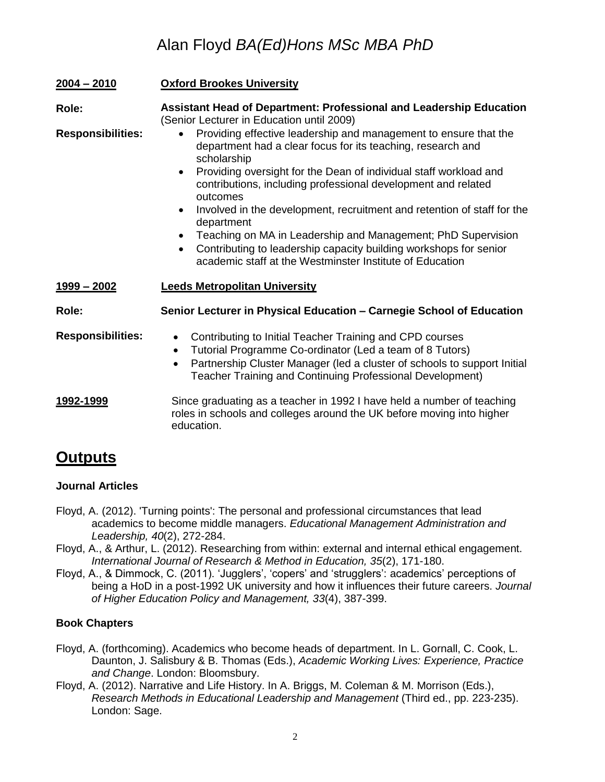### Alan Floyd *BA(Ed)Hons MSc MBA PhD*

| $2004 - 2010$            | <b>Oxford Brookes University</b>                                                                                                                                                                                                                                                                                                                                                                                                                                                                                                                                                                                                               |
|--------------------------|------------------------------------------------------------------------------------------------------------------------------------------------------------------------------------------------------------------------------------------------------------------------------------------------------------------------------------------------------------------------------------------------------------------------------------------------------------------------------------------------------------------------------------------------------------------------------------------------------------------------------------------------|
| Role:                    | <b>Assistant Head of Department: Professional and Leadership Education</b><br>(Senior Lecturer in Education until 2009)                                                                                                                                                                                                                                                                                                                                                                                                                                                                                                                        |
| <b>Responsibilities:</b> | Providing effective leadership and management to ensure that the<br>department had a clear focus for its teaching, research and<br>scholarship<br>Providing oversight for the Dean of individual staff workload and<br>$\bullet$<br>contributions, including professional development and related<br>outcomes<br>Involved in the development, recruitment and retention of staff for the<br>$\bullet$<br>department<br>Teaching on MA in Leadership and Management; PhD Supervision<br>$\bullet$<br>Contributing to leadership capacity building workshops for senior<br>$\bullet$<br>academic staff at the Westminster Institute of Education |
| $1999 - 2002$            | <b>Leeds Metropolitan University</b>                                                                                                                                                                                                                                                                                                                                                                                                                                                                                                                                                                                                           |
| Role:                    | Senior Lecturer in Physical Education - Carnegie School of Education                                                                                                                                                                                                                                                                                                                                                                                                                                                                                                                                                                           |
| <b>Responsibilities:</b> | Contributing to Initial Teacher Training and CPD courses<br>$\bullet$<br>Tutorial Programme Co-ordinator (Led a team of 8 Tutors)<br>$\bullet$<br>Partnership Cluster Manager (led a cluster of schools to support Initial<br>$\bullet$<br>Teacher Training and Continuing Professional Development)                                                                                                                                                                                                                                                                                                                                           |
| <u>1992-1999</u>         | Since graduating as a teacher in 1992 I have held a number of teaching<br>roles in schools and colleges around the UK before moving into higher<br>education.                                                                                                                                                                                                                                                                                                                                                                                                                                                                                  |

### **Outputs**

#### **Journal Articles**

- Floyd, A. (2012). 'Turning points': The personal and professional circumstances that lead academics to become middle managers. *Educational Management Administration and Leadership, 40*(2), 272-284.
- Floyd, A., & Arthur, L. (2012). Researching from within: external and internal ethical engagement. *International Journal of Research & Method in Education, 35*(2), 171-180.
- Floyd, A., & Dimmock, C. (2011). 'Jugglers', 'copers' and 'strugglers': academics' perceptions of being a HoD in a post-1992 UK university and how it influences their future careers. *Journal of Higher Education Policy and Management, 33*(4), 387-399.

#### **Book Chapters**

- Floyd, A. (forthcoming). Academics who become heads of department. In L. Gornall, C. Cook, L. Daunton, J. Salisbury & B. Thomas (Eds.), *Academic Working Lives: Experience, Practice and Change*. London: Bloomsbury.
- Floyd, A. (2012). Narrative and Life History. In A. Briggs, M. Coleman & M. Morrison (Eds.), *Research Methods in Educational Leadership and Management* (Third ed., pp. 223-235). London: Sage.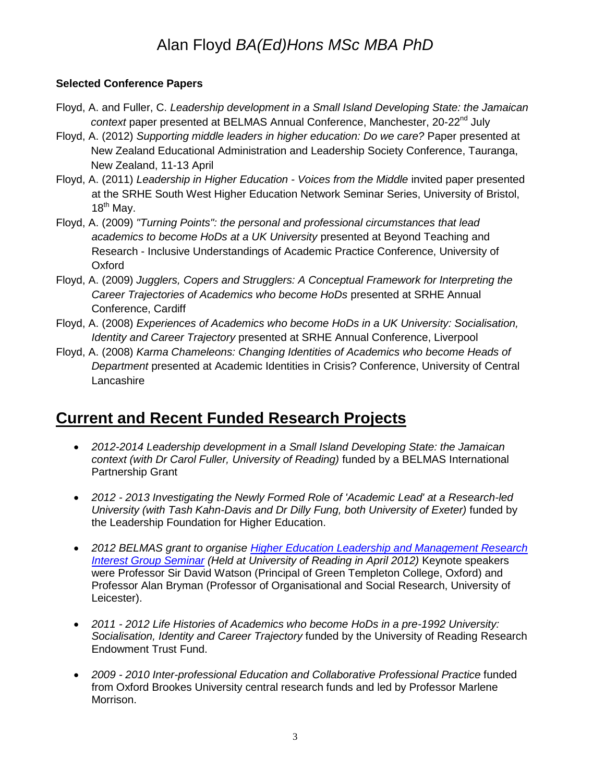## Alan Floyd *BA(Ed)Hons MSc MBA PhD*

#### **Selected Conference Papers**

- Floyd, A. and Fuller, C. *Leadership development in a Small Island Developing State: the Jamaican context* paper presented at BELMAS Annual Conference, Manchester, 20-22<sup>nd</sup> July
- Floyd, A. (2012) *Supporting middle leaders in higher education: Do we care?* Paper presented at New Zealand Educational Administration and Leadership Society Conference, Tauranga, New Zealand, 11-13 April
- Floyd, A. (2011) *Leadership in Higher Education - Voices from the Middle* invited paper presented at the SRHE South West Higher Education Network Seminar Series, University of Bristol,  $18^{th}$  Mav.
- Floyd, A. (2009) *"Turning Points": the personal and professional circumstances that lead academics to become HoDs at a UK University* presented at Beyond Teaching and Research - Inclusive Understandings of Academic Practice Conference, University of **Oxford**
- Floyd, A. (2009) *Jugglers, Copers and Strugglers: A Conceptual Framework for Interpreting the Career Trajectories of Academics who become HoDs presented at SRHE Annual* Conference, Cardiff
- Floyd, A. (2008) *Experiences of Academics who become HoDs in a UK University: Socialisation, Identity and Career Trajectory* presented at SRHE Annual Conference, Liverpool
- Floyd, A. (2008) *Karma Chameleons: Changing Identities of Academics who become Heads of Department* presented at Academic Identities in Crisis? Conference, University of Central Lancashire

### **Current and Recent Funded Research Projects**

- *2012-2014 Leadership development in a Small Island Developing State: the Jamaican context (with Dr Carol Fuller, University of Reading)* funded by a BELMAS International Partnership Grant
- *2012 - 2013 Investigating the Newly Formed Role of 'Academic Lead' at a Research-led University (with Tash Kahn-Davis and Dr Dilly Fung, both University of Exeter)* funded by the Leadership Foundation for Higher Education.
- *2012 BELMAS grant to organise [Higher Education Leadership and Management Research](http://www.belmas.org.uk/belmas11/research/rig/abouthelm.eb)  [Interest Group Seminar](http://www.belmas.org.uk/belmas11/research/rig/abouthelm.eb) (Held at University of Reading in April 2012)* Keynote speakers were Professor Sir David Watson (Principal of Green Templeton College, Oxford) and Professor Alan Bryman (Professor of Organisational and Social Research, University of Leicester).
- *2011 - 2012 Life Histories of Academics who become HoDs in a pre-1992 University: Socialisation, Identity and Career Trajectory* funded by the University of Reading Research Endowment Trust Fund.
- *2009 - 2010 Inter-professional Education and Collaborative Professional Practice* funded from Oxford Brookes University central research funds and led by Professor Marlene Morrison.